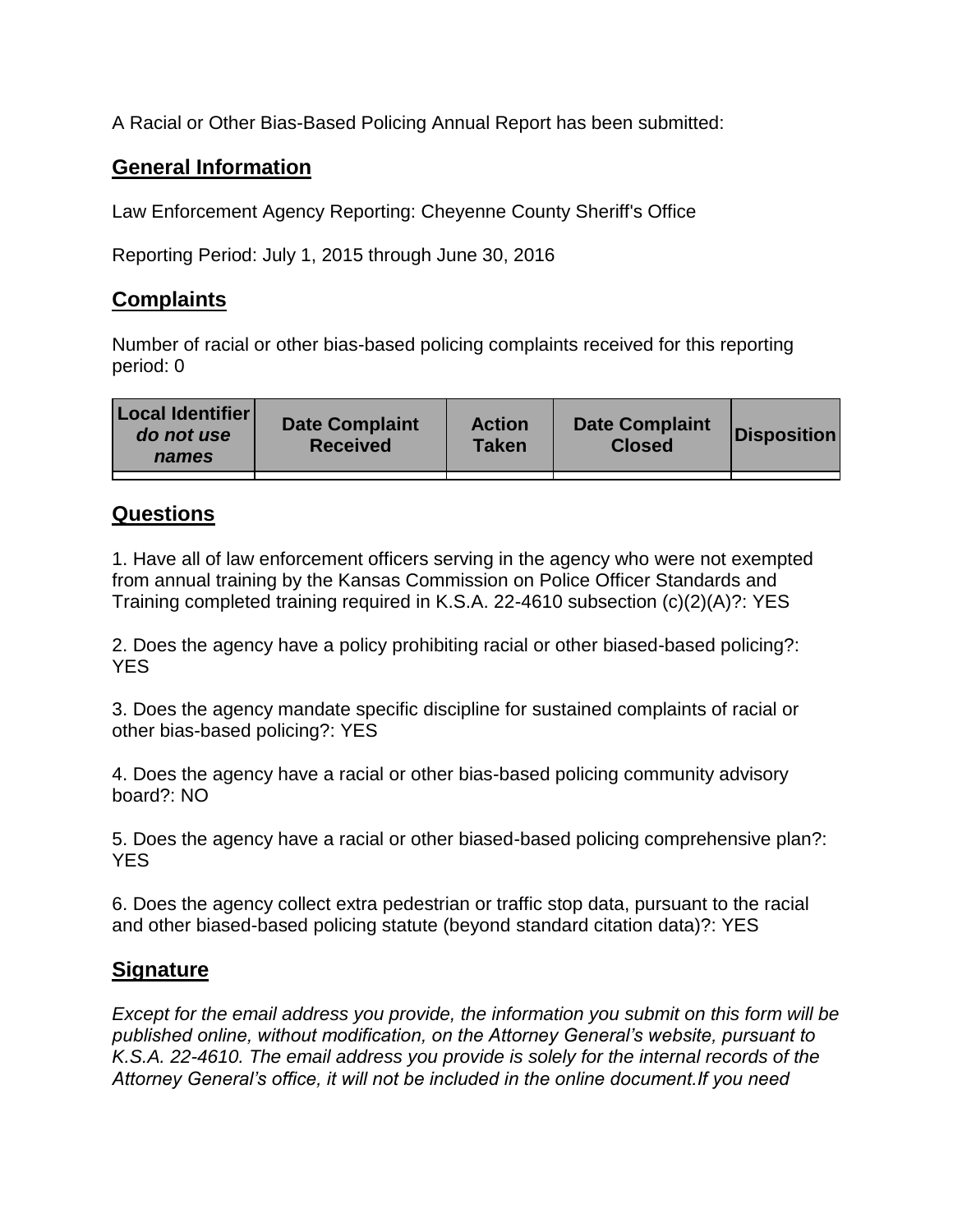A Racial or Other Bias-Based Policing Annual Report has been submitted:

## **General Information**

Law Enforcement Agency Reporting: Cheyenne County Sheriff's Office

Reporting Period: July 1, 2015 through June 30, 2016

## **Complaints**

Number of racial or other bias-based policing complaints received for this reporting period: 0

## **Questions**

1. Have all of law enforcement officers serving in the agency who were not exempted from annual training by the Kansas Commission on Police Officer Standards and Training completed training required in K.S.A. 22-4610 subsection (c)(2)(A)?: YES

2. Does the agency have a policy prohibiting racial or other biased-based policing?: YES

3. Does the agency mandate specific discipline for sustained complaints of racial or other bias-based policing?: YES

4. Does the agency have a racial or other bias-based policing community advisory board?: NO

5. Does the agency have a racial or other biased-based policing comprehensive plan?: YES

6. Does the agency collect extra pedestrian or traffic stop data, pursuant to the racial and other biased-based policing statute (beyond standard citation data)?: YES

## **Signature**

*Except for the email address you provide, the information you submit on this form will be published online, without modification, on the Attorney General's website, pursuant to K.S.A. 22-4610. The email address you provide is solely for the internal records of the Attorney General's office, it will not be included in the online document.If you need*